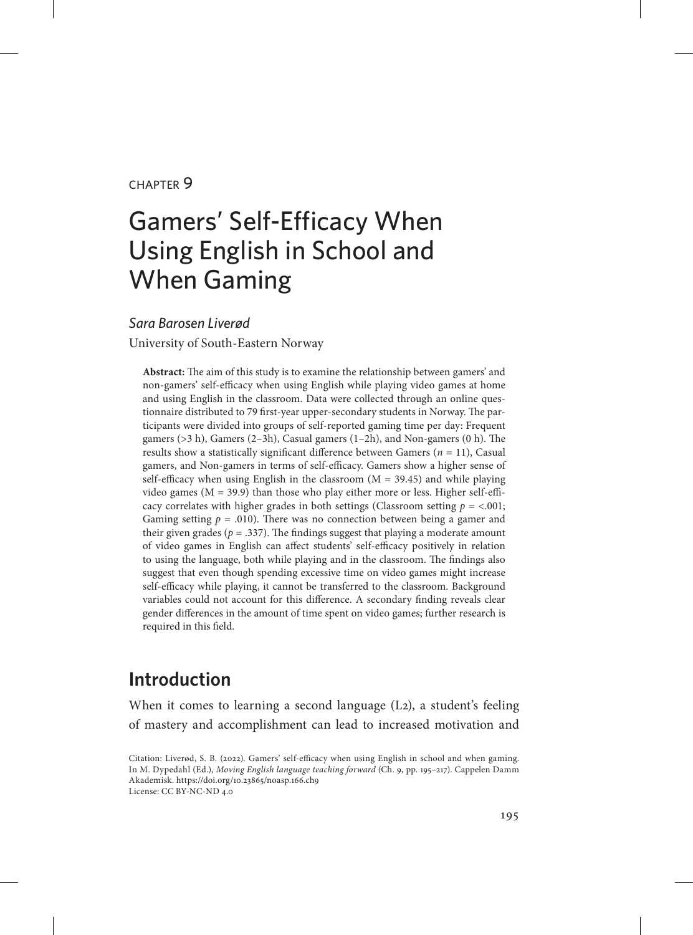### chapter 9

# Gamers' Self-Efficacy When Using English in School and When Gaming

### *Sara Barosen Liverød*

University of South-Eastern Norway

**Abstract:** The aim of this study is to examine the relationship between gamers' and non-gamers' self-efficacy when using English while playing video games at home and using English in the classroom. Data were collected through an online questionnaire distributed to 79 first-year upper-secondary students in Norway. The participants were divided into groups of self-reported gaming time per day: Frequent gamers (>3 h), Gamers (2–3h), Casual gamers (1–2h), and Non-gamers (0 h). The results show a statistically significant difference between Gamers  $(n = 11)$ , Casual gamers, and Non-gamers in terms of self-efficacy. Gamers show a higher sense of self-efficacy when using English in the classroom  $(M = 39.45)$  and while playing video games ( $M = 39.9$ ) than those who play either more or less. Higher self-efficacy correlates with higher grades in both settings (Classroom setting  $p = <.001$ ; Gaming setting  $p = .010$ ). There was no connection between being a gamer and their given grades ( $p = .337$ ). The findings suggest that playing a moderate amount of video games in English can affect students' self-efficacy positively in relation to using the language, both while playing and in the classroom. The findings also suggest that even though spending excessive time on video games might increase self-efficacy while playing, it cannot be transferred to the classroom. Background variables could not account for this difference. A secondary finding reveals clear gender differences in the amount of time spent on video games; further research is required in this field.

# **Introduction**

When it comes to learning a second language (L2), a student's feeling of mastery and accomplishment can lead to increased motivation and

Citation: Liverød, S. B. (2022). Gamers' self-efficacy when using English in school and when gaming. In M. Dypedahl (Ed.), *Moving English language teaching forward* (Ch. 9, pp. 195–217). Cappelen Damm Akademisk. https://doi.org/10.23865/noasp.166.ch9 License: CC BY-NC-ND 4.0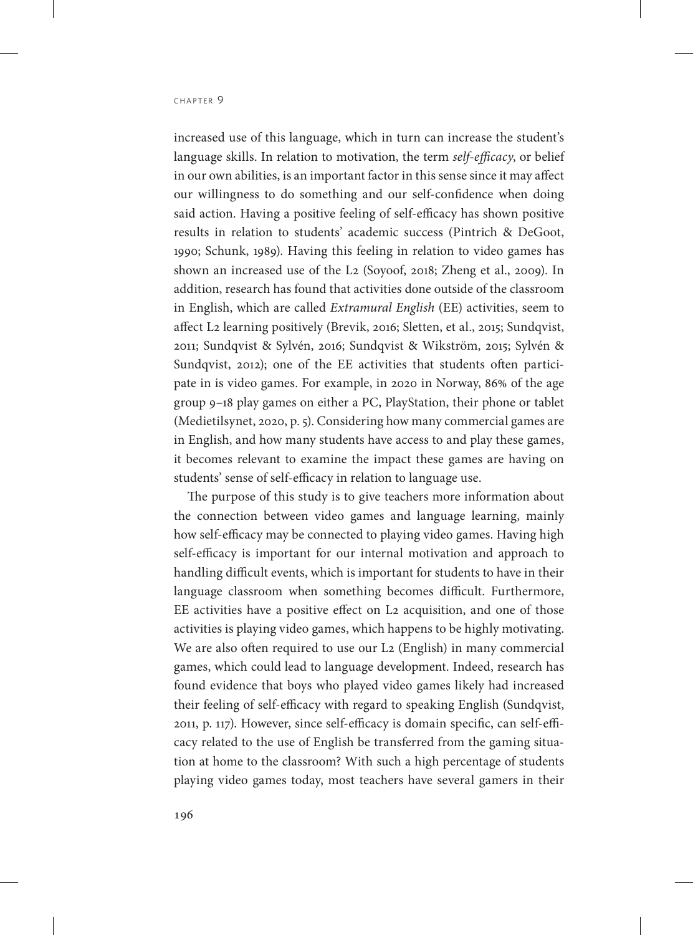increased use of this language, which in turn can increase the student's language skills. In relation to motivation, the term *self-efficacy*, or belief in our own abilities, is an important factor in this sense since it may affect our willingness to do something and our self-confidence when doing said action. Having a positive feeling of self-efficacy has shown positive results in relation to students' academic success (Pintrich & DeGoot, 1990; Schunk, 1989). Having this feeling in relation to video games has shown an increased use of the L2 (Soyoof, 2018; Zheng et al., 2009). In addition, research has found that activities done outside of the classroom in English, which are called *Extramural English* (EE) activities, seem to affect L2 learning positively (Brevik, 2016; Sletten, et al., 2015; Sundqvist, 2011; Sundqvist & Sylvén, 2016; Sundqvist & Wikström, 2015; Sylvén & Sundqvist, 2012); one of the EE activities that students often participate in is video games. For example, in 2020 in Norway, 86% of the age group 9–18 play games on either a PC, PlayStation, their phone or tablet (Medietilsynet, 2020, p. 5). Considering how many commercial games are in English, and how many students have access to and play these games, it becomes relevant to examine the impact these games are having on students' sense of self-efficacy in relation to language use.

The purpose of this study is to give teachers more information about the connection between video games and language learning, mainly how self-efficacy may be connected to playing video games. Having high self-efficacy is important for our internal motivation and approach to handling difficult events, which is important for students to have in their language classroom when something becomes difficult. Furthermore, EE activities have a positive effect on L2 acquisition, and one of those activities is playing video games, which happens to be highly motivating. We are also often required to use our L2 (English) in many commercial games, which could lead to language development. Indeed, research has found evidence that boys who played video games likely had increased their feeling of self-efficacy with regard to speaking English (Sundqvist, 2011, p. 117). However, since self-efficacy is domain specific, can self-efficacy related to the use of English be transferred from the gaming situation at home to the classroom? With such a high percentage of students playing video games today, most teachers have several gamers in their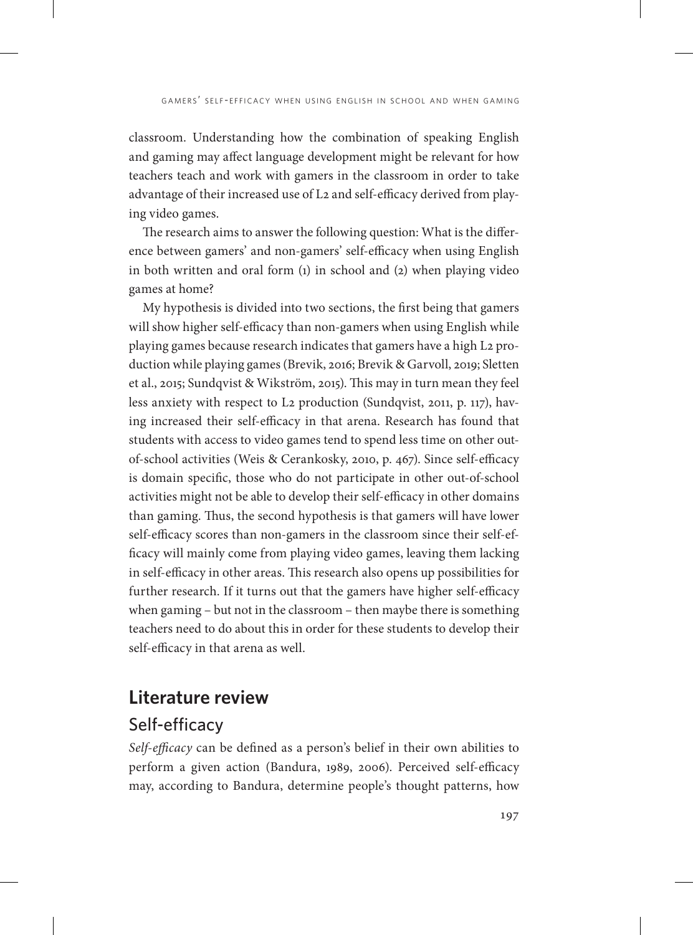classroom. Understanding how the combination of speaking English and gaming may affect language development might be relevant for how teachers teach and work with gamers in the classroom in order to take advantage of their increased use of L2 and self-efficacy derived from playing video games.

The research aims to answer the following question: What is the difference between gamers' and non-gamers' self-efficacy when using English in both written and oral form (1) in school and (2) when playing video games at home?

My hypothesis is divided into two sections, the first being that gamers will show higher self-efficacy than non-gamers when using English while playing games because research indicates that gamers have a high L2 production while playing games (Brevik, 2016; Brevik & Garvoll, 2019; Sletten et al., 2015; Sundqvist & Wikström, 2015). This may in turn mean they feel less anxiety with respect to L2 production (Sundqvist, 2011, p. 117), having increased their self-efficacy in that arena. Research has found that students with access to video games tend to spend less time on other outof-school activities (Weis & Cerankosky, 2010, p. 467). Since self-efficacy is domain specific, those who do not participate in other out-of-school activities might not be able to develop their self-efficacy in other domains than gaming. Thus, the second hypothesis is that gamers will have lower self-efficacy scores than non-gamers in the classroom since their self-efficacy will mainly come from playing video games, leaving them lacking in self-efficacy in other areas. This research also opens up possibilities for further research. If it turns out that the gamers have higher self-efficacy when gaming – but not in the classroom – then maybe there is something teachers need to do about this in order for these students to develop their self-efficacy in that arena as well.

### **Literature review**

### Self-efficacy

*Self-efficacy* can be defined as a person's belief in their own abilities to perform a given action (Bandura, 1989, 2006). Perceived self-efficacy may, according to Bandura, determine people's thought patterns, how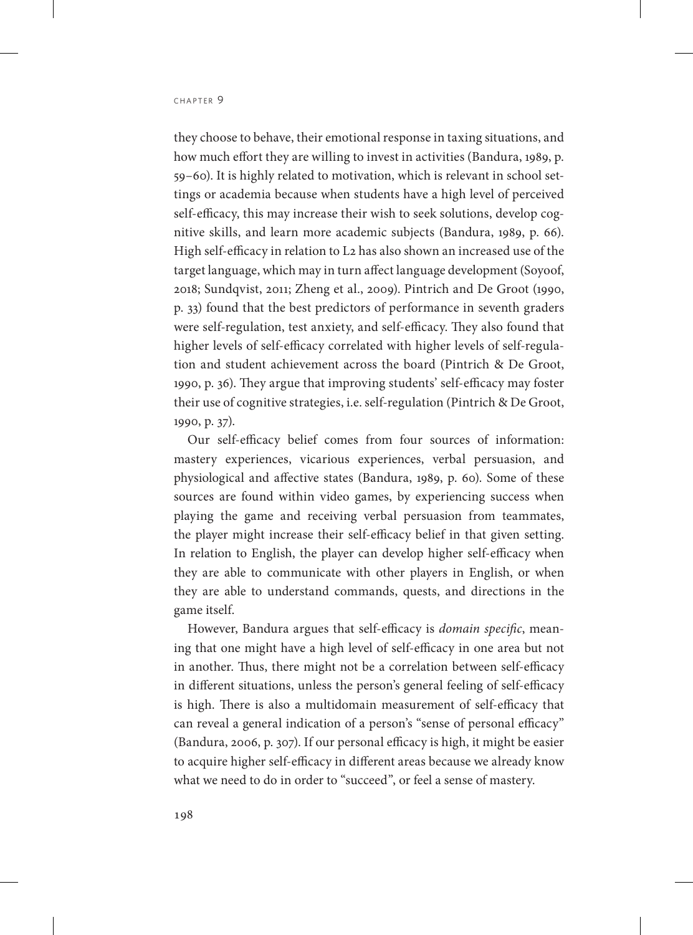they choose to behave, their emotional response in taxing situations, and how much effort they are willing to invest in activities (Bandura, 1989, p. 59–60). It is highly related to motivation, which is relevant in school settings or academia because when students have a high level of perceived self-efficacy, this may increase their wish to seek solutions, develop cognitive skills, and learn more academic subjects (Bandura, 1989, p. 66). High self-efficacy in relation to L2 has also shown an increased use of the target language, which may in turn affect language development (Soyoof, 2018; Sundqvist, 2011; Zheng et al., 2009). Pintrich and De Groot (1990, p. 33) found that the best predictors of performance in seventh graders were self-regulation, test anxiety, and self-efficacy. They also found that higher levels of self-efficacy correlated with higher levels of self-regulation and student achievement across the board (Pintrich & De Groot, 1990, p. 36). They argue that improving students' self-efficacy may foster their use of cognitive strategies, i.e. self-regulation (Pintrich & De Groot, 1990, p. 37).

Our self-efficacy belief comes from four sources of information: mastery experiences, vicarious experiences, verbal persuasion, and physiological and affective states (Bandura, 1989, p. 60). Some of these sources are found within video games, by experiencing success when playing the game and receiving verbal persuasion from teammates, the player might increase their self-efficacy belief in that given setting. In relation to English, the player can develop higher self-efficacy when they are able to communicate with other players in English, or when they are able to understand commands, quests, and directions in the game itself.

However, Bandura argues that self-efficacy is *domain specific*, meaning that one might have a high level of self-efficacy in one area but not in another. Thus, there might not be a correlation between self-efficacy in different situations, unless the person's general feeling of self-efficacy is high. There is also a multidomain measurement of self-efficacy that can reveal a general indication of a person's "sense of personal efficacy" (Bandura, 2006, p. 307). If our personal efficacy is high, it might be easier to acquire higher self-efficacy in different areas because we already know what we need to do in order to "succeed", or feel a sense of mastery.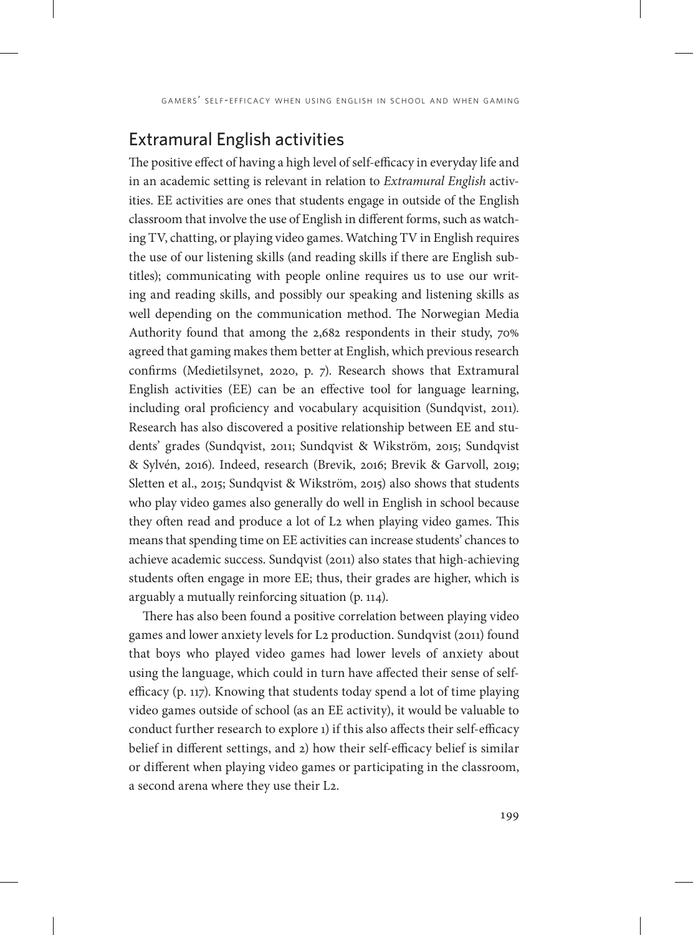# Extramural English activities

The positive effect of having a high level of self-efficacy in everyday life and in an academic setting is relevant in relation to *Extramural English* activities. EE activities are ones that students engage in outside of the English classroom that involve the use of English in different forms, such as watching TV, chatting, or playing video games. Watching TV in English requires the use of our listening skills (and reading skills if there are English subtitles); communicating with people online requires us to use our writing and reading skills, and possibly our speaking and listening skills as well depending on the communication method. The Norwegian Media Authority found that among the 2,682 respondents in their study, 70% agreed that gaming makes them better at English, which previous research confirms (Medietilsynet, 2020, p. 7). Research shows that Extramural English activities (EE) can be an effective tool for language learning, including oral proficiency and vocabulary acquisition (Sundqvist, 2011). Research has also discovered a positive relationship between EE and students' grades (Sundqvist, 2011; Sundqvist & Wikström, 2015; Sundqvist & Sylvén, 2016). Indeed, research (Brevik, 2016; Brevik & Garvoll, 2019; Sletten et al., 2015; Sundqvist & Wikström, 2015) also shows that students who play video games also generally do well in English in school because they often read and produce a lot of L2 when playing video games. This means that spending time on EE activities can increase students' chances to achieve academic success. Sundqvist (2011) also states that high-achieving students often engage in more EE; thus, their grades are higher, which is arguably a mutually reinforcing situation (p. 114).

There has also been found a positive correlation between playing video games and lower anxiety levels for L2 production. Sundqvist (2011) found that boys who played video games had lower levels of anxiety about using the language, which could in turn have affected their sense of selfefficacy (p. 117). Knowing that students today spend a lot of time playing video games outside of school (as an EE activity), it would be valuable to conduct further research to explore 1) if this also affects their self-efficacy belief in different settings, and 2) how their self-efficacy belief is similar or different when playing video games or participating in the classroom, a second arena where they use their L2.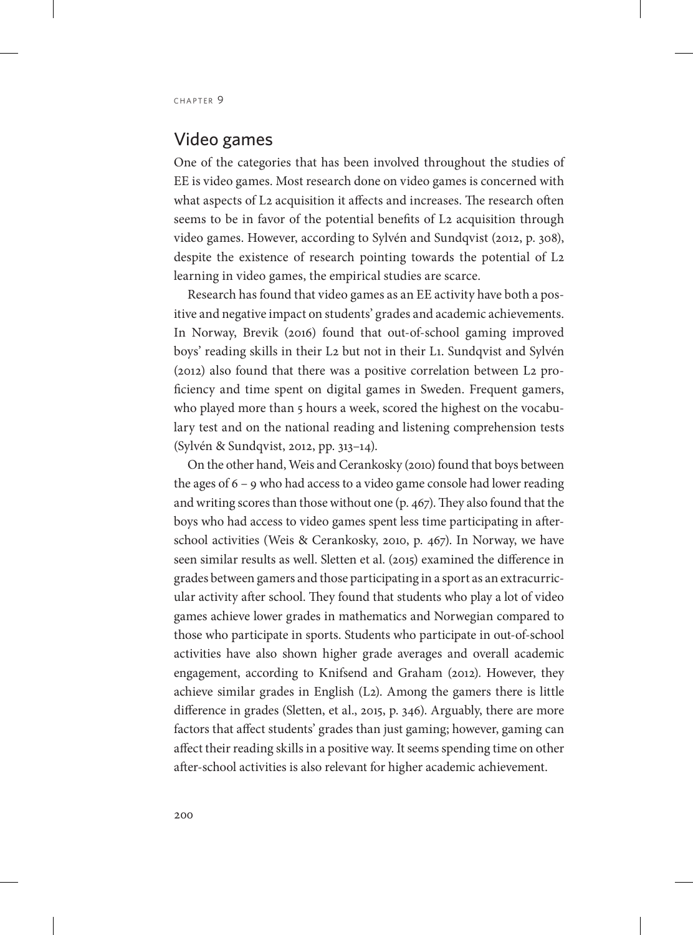### Video games

One of the categories that has been involved throughout the studies of EE is video games. Most research done on video games is concerned with what aspects of L2 acquisition it affects and increases. The research often seems to be in favor of the potential benefits of L<sub>2</sub> acquisition through video games. However, according to Sylvén and Sundqvist (2012, p. 308), despite the existence of research pointing towards the potential of L2 learning in video games, the empirical studies are scarce.

Research has found that video games as an EE activity have both a positive and negative impact on students' grades and academic achievements. In Norway, Brevik (2016) found that out-of-school gaming improved boys' reading skills in their L2 but not in their L1. Sundqvist and Sylvén (2012) also found that there was a positive correlation between L2 proficiency and time spent on digital games in Sweden. Frequent gamers, who played more than 5 hours a week, scored the highest on the vocabulary test and on the national reading and listening comprehension tests (Sylvén & Sundqvist, 2012, pp. 313–14).

On the other hand, Weis and Cerankosky (2010) found that boys between the ages of 6 – 9 who had access to a video game console had lower reading and writing scores than those without one (p. 467). They also found that the boys who had access to video games spent less time participating in afterschool activities (Weis & Cerankosky, 2010, p. 467). In Norway, we have seen similar results as well. Sletten et al. (2015) examined the difference in grades between gamers and those participating in a sport as an extracurricular activity after school. They found that students who play a lot of video games achieve lower grades in mathematics and Norwegian compared to those who participate in sports. Students who participate in out-of-school activities have also shown higher grade averages and overall academic engagement, according to Knifsend and Graham (2012). However, they achieve similar grades in English (L2). Among the gamers there is little difference in grades (Sletten, et al., 2015, p. 346). Arguably, there are more factors that affect students' grades than just gaming; however, gaming can affect their reading skills in a positive way. It seems spending time on other after-school activities is also relevant for higher academic achievement.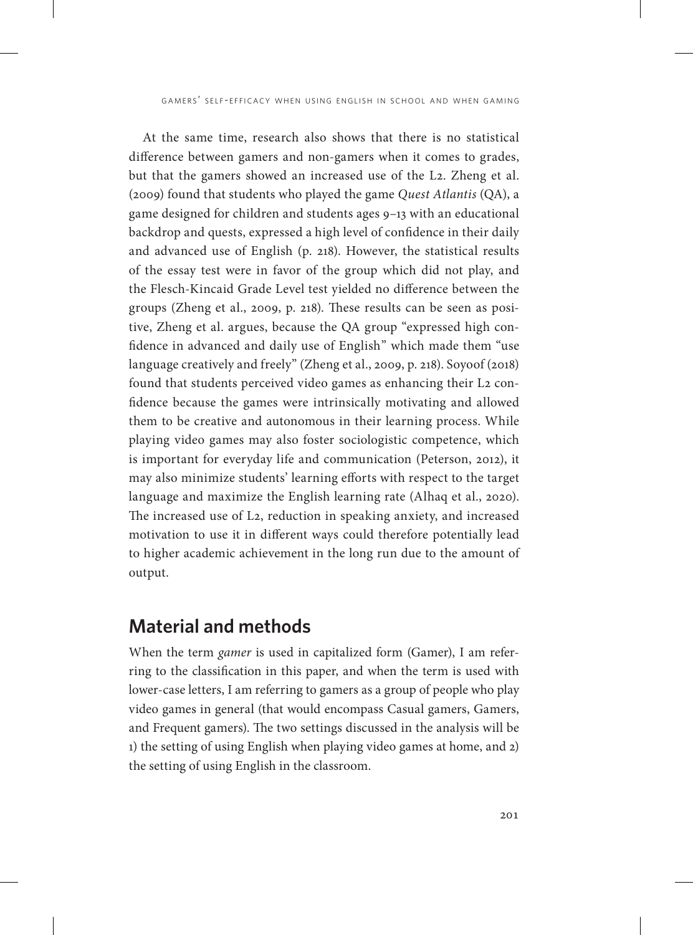At the same time, research also shows that there is no statistical difference between gamers and non-gamers when it comes to grades, but that the gamers showed an increased use of the L2. Zheng et al. (2009) found that students who played the game *Quest Atlantis* (QA), a game designed for children and students ages 9–13 with an educational backdrop and quests, expressed a high level of confidence in their daily and advanced use of English (p. 218). However, the statistical results of the essay test were in favor of the group which did not play, and the Flesch-Kincaid Grade Level test yielded no difference between the groups (Zheng et al., 2009, p. 218). These results can be seen as positive, Zheng et al. argues, because the QA group "expressed high confidence in advanced and daily use of English" which made them "use language creatively and freely" (Zheng et al., 2009, p. 218). Soyoof (2018) found that students perceived video games as enhancing their L2 confidence because the games were intrinsically motivating and allowed them to be creative and autonomous in their learning process. While playing video games may also foster sociologistic competence, which is important for everyday life and communication (Peterson, 2012), it may also minimize students' learning efforts with respect to the target language and maximize the English learning rate (Alhaq et al., 2020). The increased use of L2, reduction in speaking anxiety, and increased motivation to use it in different ways could therefore potentially lead to higher academic achievement in the long run due to the amount of output.

# **Material and methods**

When the term *gamer* is used in capitalized form (Gamer), I am referring to the classification in this paper, and when the term is used with lower-case letters, I am referring to gamers as a group of people who play video games in general (that would encompass Casual gamers, Gamers, and Frequent gamers). The two settings discussed in the analysis will be 1) the setting of using English when playing video games at home, and 2) the setting of using English in the classroom.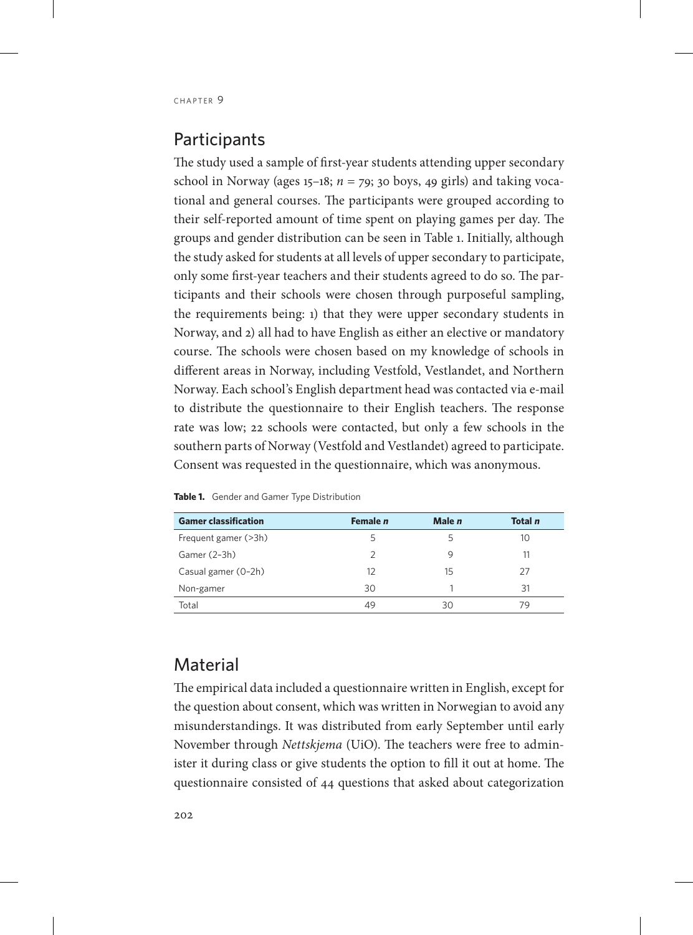## **Participants**

The study used a sample of first-year students attending upper secondary school in Norway (ages  $15-18$ ;  $n = 79$ ; 30 boys, 49 girls) and taking vocational and general courses. The participants were grouped according to their self-reported amount of time spent on playing games per day. The groups and gender distribution can be seen in Table 1. Initially, although the study asked for students at all levels of upper secondary to participate, only some first-year teachers and their students agreed to do so. The participants and their schools were chosen through purposeful sampling, the requirements being: 1) that they were upper secondary students in Norway, and 2) all had to have English as either an elective or mandatory course. The schools were chosen based on my knowledge of schools in different areas in Norway, including Vestfold, Vestlandet, and Northern Norway. Each school's English department head was contacted via e-mail to distribute the questionnaire to their English teachers. The response rate was low; 22 schools were contacted, but only a few schools in the southern parts of Norway (Vestfold and Vestlandet) agreed to participate. Consent was requested in the questionnaire, which was anonymous.

| <b>Gamer classification</b> | Female n      | Male n | Total n |  |
|-----------------------------|---------------|--------|---------|--|
| Frequent gamer (>3h)        | 5             |        | 10      |  |
| Gamer (2-3h)                | $\mathcal{P}$ | q      | 11      |  |
| Casual gamer (0-2h)         | 12            | 15     | 27      |  |
| Non-gamer                   | 30            |        | 31      |  |
| Total                       | 49            | 30     | 79      |  |

**Table 1.** Gender and Gamer Type Distribution

### **Material**

The empirical data included a questionnaire written in English, except for the question about consent, which was written in Norwegian to avoid any misunderstandings. It was distributed from early September until early November through *Nettskjema* (UiO). The teachers were free to administer it during class or give students the option to fill it out at home. The questionnaire consisted of 44 questions that asked about categorization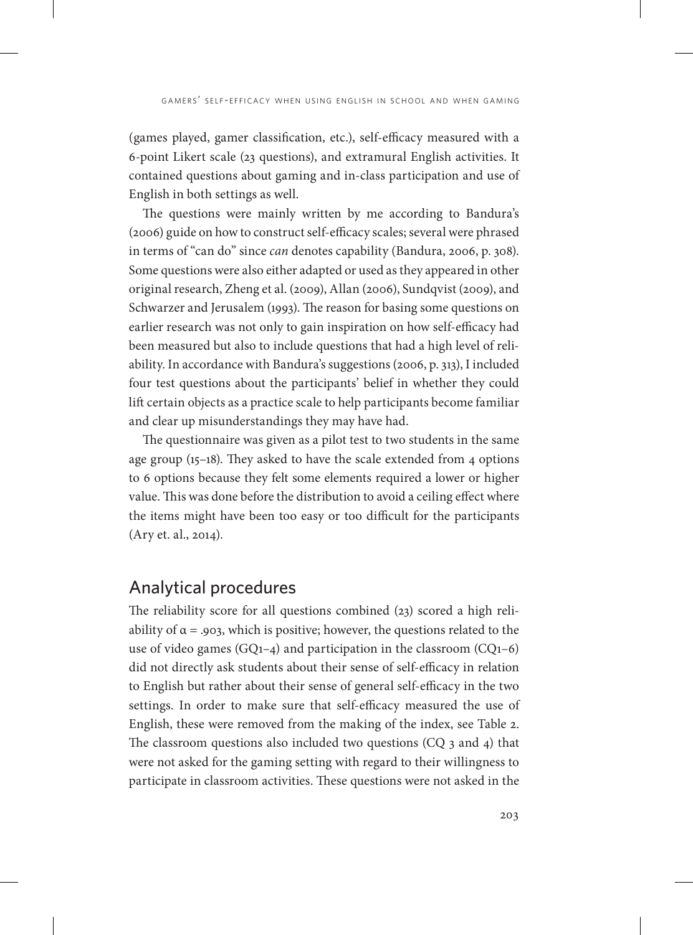(games played, gamer classification, etc.), self-efficacy measured with a 6-point Likert scale (23 questions), and extramural English activities. It contained questions about gaming and in-class participation and use of English in both settings as well.

The questions were mainly written by me according to Bandura's (2006) guide on how to construct self-efficacy scales; several were phrased in terms of "can do" since *can* denotes capability (Bandura, 2006, p. 308). Some questions were also either adapted or used as they appeared in other original research, Zheng et al. (2009), Allan (2006), Sundqvist (2009), and Schwarzer and Jerusalem (1993). The reason for basing some questions on earlier research was not only to gain inspiration on how self-efficacy had been measured but also to include questions that had a high level of reliability. In accordance with Bandura's suggestions (2006, p. 313), I included four test questions about the participants' belief in whether they could lift certain objects as a practice scale to help participants become familiar and clear up misunderstandings they may have had.

The questionnaire was given as a pilot test to two students in the same age group (15–18). They asked to have the scale extended from 4 options to 6 options because they felt some elements required a lower or higher value. This was done before the distribution to avoid a ceiling effect where the items might have been too easy or too difficult for the participants (Ary et. al., 2014).

### Analytical procedures

The reliability score for all questions combined (23) scored a high reliability of  $\alpha$  = .903, which is positive; however, the questions related to the use of video games (GQ1-4) and participation in the classroom (CQ1-6) did not directly ask students about their sense of self-efficacy in relation to English but rather about their sense of general self-efficacy in the two settings. In order to make sure that self-efficacy measured the use of English, these were removed from the making of the index, see Table 2. The classroom questions also included two questions (CQ 3 and 4) that were not asked for the gaming setting with regard to their willingness to participate in classroom activities. These questions were not asked in the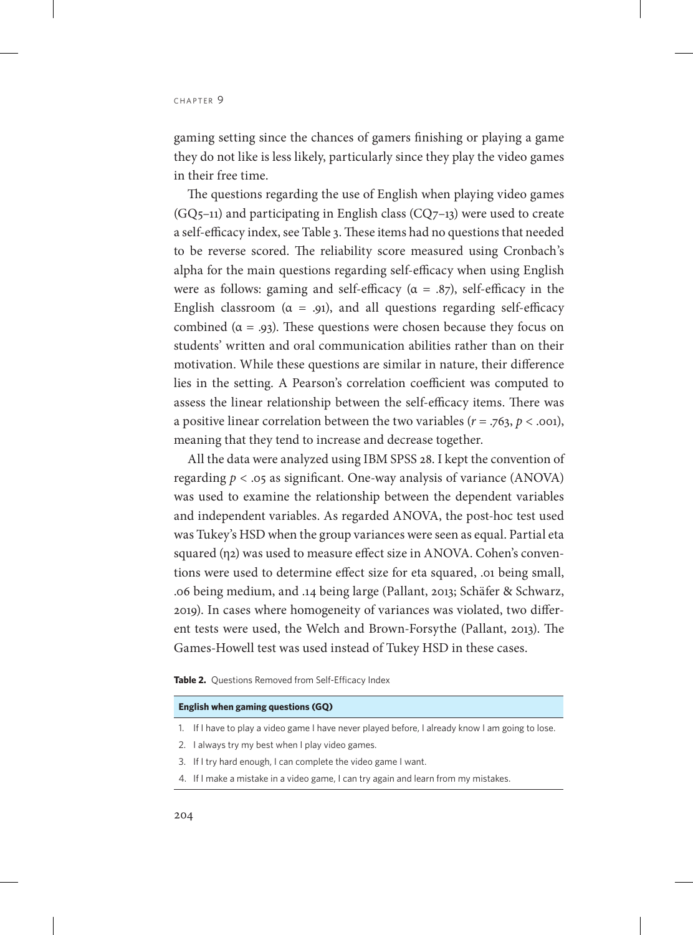CHAPTER 9

gaming setting since the chances of gamers finishing or playing a game they do not like is less likely, particularly since they play the video games in their free time.

The questions regarding the use of English when playing video games  $(GQ_{5}-11)$  and participating in English class  $(CQ_{7}-13)$  were used to create a self-efficacy index, see Table 3. These items had no questions that needed to be reverse scored. The reliability score measured using Cronbach's alpha for the main questions regarding self-efficacy when using English were as follows: gaming and self-efficacy ( $\alpha = .87$ ), self-efficacy in the English classroom ( $\alpha = .91$ ), and all questions regarding self-efficacy combined ( $\alpha = .93$ ). These questions were chosen because they focus on students' written and oral communication abilities rather than on their motivation. While these questions are similar in nature, their difference lies in the setting. A Pearson's correlation coefficient was computed to assess the linear relationship between the self-efficacy items. There was a positive linear correlation between the two variables  $(r = .763, p < .001)$ , meaning that they tend to increase and decrease together.

All the data were analyzed using IBM SPSS 28. I kept the convention of regarding  $p < 0.05$  as significant. One-way analysis of variance (ANOVA) was used to examine the relationship between the dependent variables and independent variables. As regarded ANOVA, the post-hoc test used was Tukey's HSD when the group variances were seen as equal. Partial eta squared (η2) was used to measure effect size in ANOVA. Cohen's conventions were used to determine effect size for eta squared, .01 being small, .06 being medium, and .14 being large (Pallant, 2013; Schäfer & Schwarz, 2019). In cases where homogeneity of variances was violated, two different tests were used, the Welch and Brown-Forsythe (Pallant, 2013). The Games-Howell test was used instead of Tukey HSD in these cases.

#### **Table 2.** Questions Removed from Self-Efficacy Index

#### **English when gaming questions (GQ)**

- 1. If I have to play a video game I have never played before, I already know I am going to lose.
- 2. I always try my best when I play video games.
- 3. If I try hard enough, I can complete the video game I want.
- 4. If I make a mistake in a video game, I can try again and learn from my mistakes.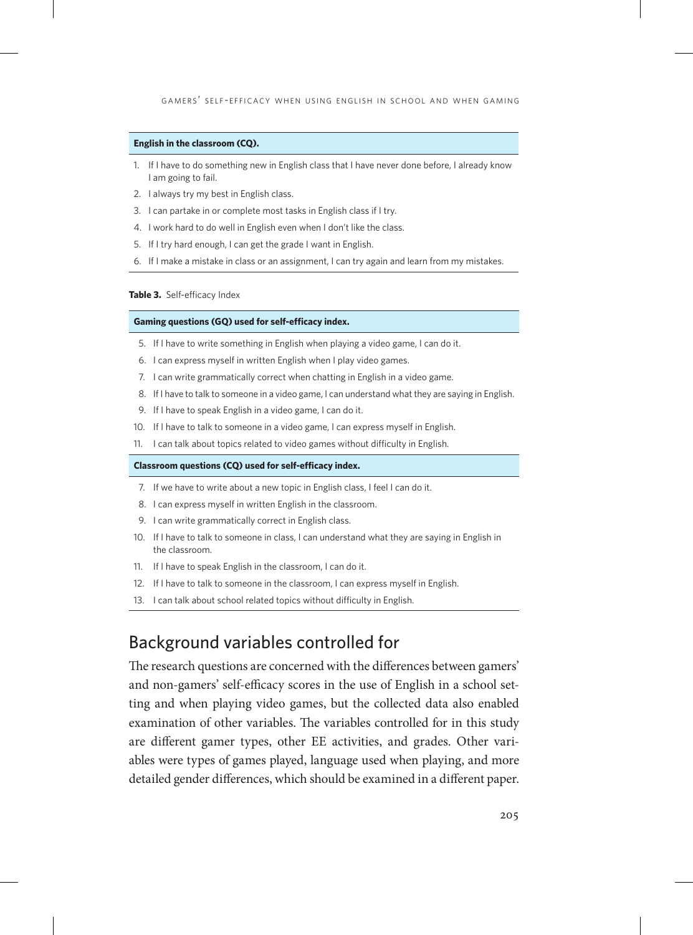#### **English in the classroom (CQ).**

- 1. If I have to do something new in English class that I have never done before, I already know I am going to fail.
- 2. I always try my best in English class.
- 3. I can partake in or complete most tasks in English class if I try.
- 4. I work hard to do well in English even when I don't like the class.
- 5. If I try hard enough, I can get the grade I want in English.
- 6. If I make a mistake in class or an assignment, I can try again and learn from my mistakes.

#### **Table 3.** Self-efficacy Index

#### **Gaming questions (GQ) used for self-efficacy index.**

- 5. If I have to write something in English when playing a video game, I can do it.
- 6. I can express myself in written English when I play video games.
- 7. I can write grammatically correct when chatting in English in a video game.
- 8. If I have to talk to someone in a video game, I can understand what they are saying in English.
- 9. If I have to speak English in a video game, I can do it.
- 10. If I have to talk to someone in a video game, I can express myself in English.
- 11. I can talk about topics related to video games without difficulty in English.

#### **Classroom questions (CQ) used for self-efficacy index.**

- 7. If we have to write about a new topic in English class, I feel I can do it.
- 8. I can express myself in written English in the classroom.
- 9. I can write grammatically correct in English class.
- 10. If I have to talk to someone in class, I can understand what they are saying in English in the classroom.
- 11. If I have to speak English in the classroom, I can do it.
- 12. If I have to talk to someone in the classroom, I can express myself in English.
- 13. I can talk about school related topics without difficulty in English.

### Background variables controlled for

The research questions are concerned with the differences between gamers' and non-gamers' self-efficacy scores in the use of English in a school setting and when playing video games, but the collected data also enabled examination of other variables. The variables controlled for in this study are different gamer types, other EE activities, and grades. Other variables were types of games played, language used when playing, and more detailed gender differences, which should be examined in a different paper.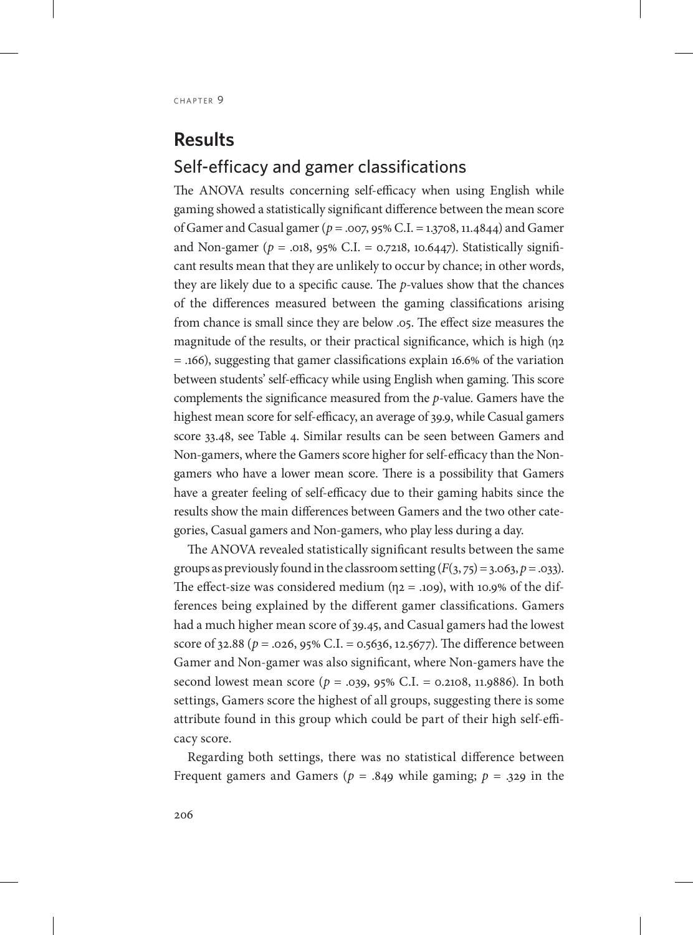# **Results** Self-efficacy and gamer classifications

The ANOVA results concerning self-efficacy when using English while gaming showed a statistically significant difference between the mean score of Gamer and Casual gamer (*p* = .007, 95% C.I. = 1.3708, 11.4844) and Gamer and Non-gamer ( $p = .018$ , 95% C.I. = 0.7218, 10.6447). Statistically significant results mean that they are unlikely to occur by chance; in other words, they are likely due to a specific cause. The *p*-values show that the chances of the differences measured between the gaming classifications arising from chance is small since they are below .05. The effect size measures the magnitude of the results, or their practical significance, which is high (η2 = .166), suggesting that gamer classifications explain 16.6% of the variation between students' self-efficacy while using English when gaming. This score complements the significance measured from the *p*-value. Gamers have the highest mean score for self-efficacy, an average of 39.9, while Casual gamers score 33.48, see Table 4. Similar results can be seen between Gamers and Non-gamers, where the Gamers score higher for self-efficacy than the Nongamers who have a lower mean score. There is a possibility that Gamers have a greater feeling of self-efficacy due to their gaming habits since the results show the main differences between Gamers and the two other categories, Casual gamers and Non-gamers, who play less during a day.

The ANOVA revealed statistically significant results between the same groups as previously found in the classroom setting  $(F(3, 75) = 3.063, p = .033)$ . The effect-size was considered medium  $(\eta_2 = .109)$ , with 10.9% of the differences being explained by the different gamer classifications. Gamers had a much higher mean score of 39.45, and Casual gamers had the lowest score of 32.88 (*p* = .026, 95% C.I. = 0.5636, 12.5677). The difference between Gamer and Non-gamer was also significant, where Non-gamers have the second lowest mean score ( $p = .039, 95\%$  C.I. = 0.2108, 11.9886). In both settings, Gamers score the highest of all groups, suggesting there is some attribute found in this group which could be part of their high self-efficacy score.

Regarding both settings, there was no statistical difference between Frequent gamers and Gamers ( $p = .849$  while gaming;  $p = .329$  in the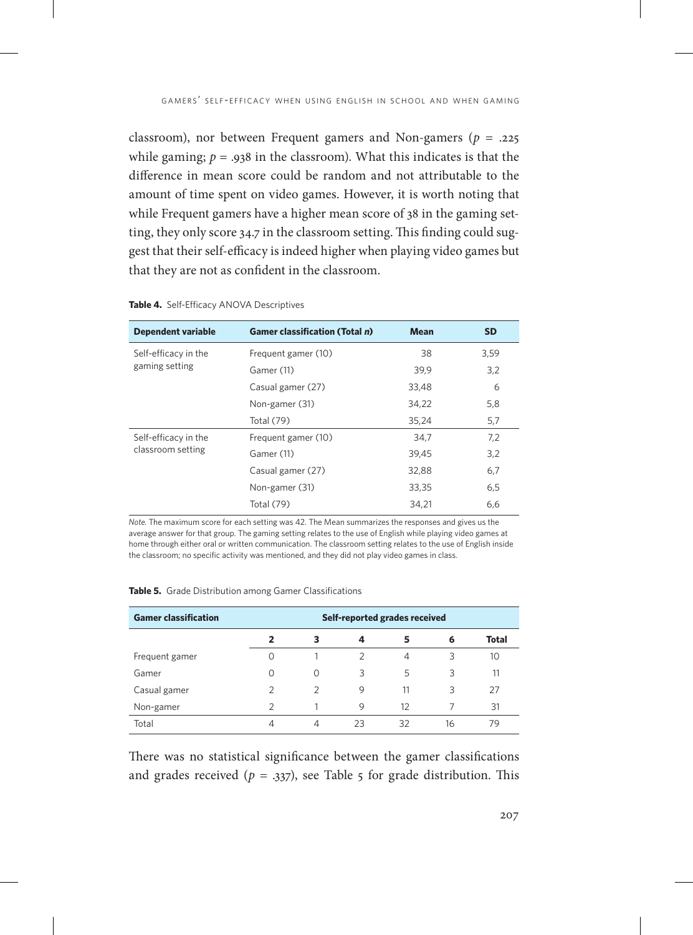classroom), nor between Frequent gamers and Non-gamers (*p* = .225 while gaming;  $p = .938$  in the classroom). What this indicates is that the difference in mean score could be random and not attributable to the amount of time spent on video games. However, it is worth noting that while Frequent gamers have a higher mean score of 38 in the gaming setting, they only score 34.7 in the classroom setting. This finding could suggest that their self-efficacy is indeed higher when playing video games but that they are not as confident in the classroom.

| <b>Dependent variable</b>                 | <b>Gamer classification (Total n)</b> | <b>Mean</b> | <b>SD</b> |
|-------------------------------------------|---------------------------------------|-------------|-----------|
| Self-efficacy in the<br>gaming setting    | Frequent gamer (10)                   | 38          | 3,59      |
|                                           | Gamer (11)                            | 39,9        | 3,2       |
|                                           | Casual gamer (27)                     | 33,48       | 6         |
|                                           | Non-gamer (31)                        | 34,22       | 5,8       |
|                                           | <b>Total (79)</b>                     | 35,24       | 5,7       |
| Self-efficacy in the<br>classroom setting | Frequent gamer (10)                   | 34,7        | 7,2       |
|                                           | Gamer (11)                            | 39,45       | 3,2       |
|                                           | Casual gamer (27)                     | 32,88       | 6,7       |
|                                           | Non-gamer (31)                        | 33,35       | 6,5       |
|                                           | <b>Total (79)</b>                     | 34,21       | 6,6       |

#### **Table 4.** Self-Efficacy ANOVA Descriptives

*Note.* The maximum score for each setting was 42. The Mean summarizes the responses and gives us the average answer for that group. The gaming setting relates to the use of English while playing video games at home through either oral or written communication. The classroom setting relates to the use of English inside the classroom; no specific activity was mentioned, and they did not play video games in class.

| <b>Gamer classification</b> | Self-reported grades received |               |    |    |    |              |
|-----------------------------|-------------------------------|---------------|----|----|----|--------------|
|                             |                               | 3             | 4  | 5  | 6  | <b>Total</b> |
| Frequent gamer              |                               |               | 2  | 4  | 3  | 10           |
| Gamer                       | 0                             | O             | 3  | 5  | 3  | 11           |
| Casual gamer                | フ                             | $\mathcal{P}$ | 9  | 11 | 3  | 27           |
| Non-gamer                   | フ                             |               | 9  | 12 |    | 31           |
| Total                       | 4                             | 4             | 23 | 32 | 16 | 79           |

#### **Table 5.** Grade Distribution among Gamer Classifications

There was no statistical significance between the gamer classifications and grades received ( $p = 0.337$ ), see Table 5 for grade distribution. This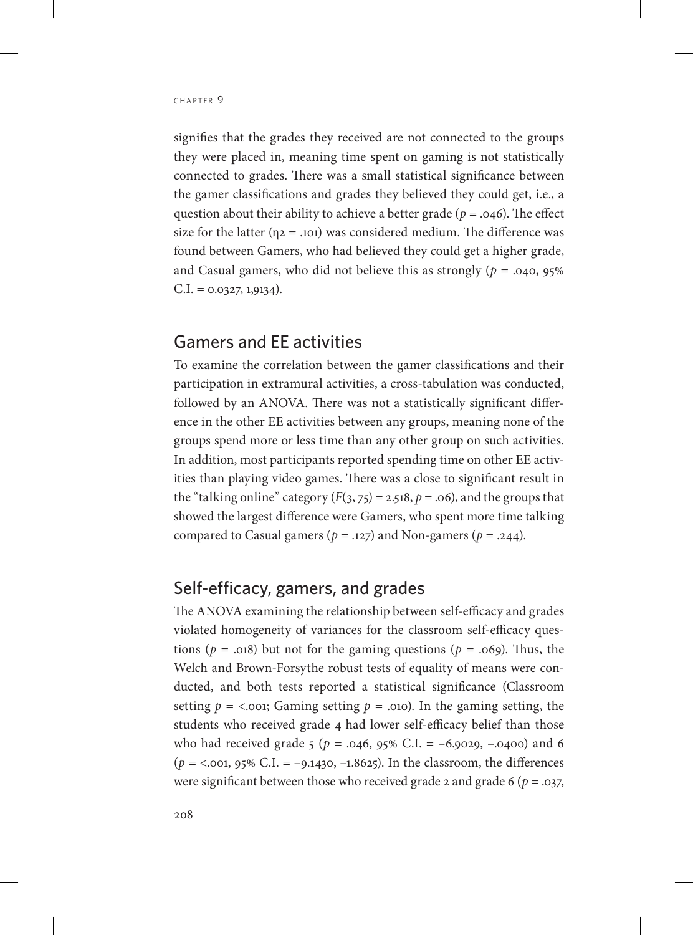signifies that the grades they received are not connected to the groups they were placed in, meaning time spent on gaming is not statistically connected to grades. There was a small statistical significance between the gamer classifications and grades they believed they could get, i.e., a question about their ability to achieve a better grade (*p* = .046). The effect size for the latter ( $\eta$ 2 = .101) was considered medium. The difference was found between Gamers, who had believed they could get a higher grade, and Casual gamers, who did not believe this as strongly ( $p = .040, 95\%$ )  $C.I. = 0.0327, 1.9134.$ 

### Gamers and EE activities

To examine the correlation between the gamer classifications and their participation in extramural activities, a cross-tabulation was conducted, followed by an ANOVA. There was not a statistically significant difference in the other EE activities between any groups, meaning none of the groups spend more or less time than any other group on such activities. In addition, most participants reported spending time on other EE activities than playing video games. There was a close to significant result in the "talking online" category  $(F(3, 75) = 2.518, p = .06)$ , and the groups that showed the largest difference were Gamers, who spent more time talking compared to Casual gamers ( $p = .127$ ) and Non-gamers ( $p = .244$ ).

### Self-efficacy, gamers, and grades

The ANOVA examining the relationship between self-efficacy and grades violated homogeneity of variances for the classroom self-efficacy questions ( $p = .018$ ) but not for the gaming questions ( $p = .069$ ). Thus, the Welch and Brown-Forsythe robust tests of equality of means were conducted, and both tests reported a statistical significance (Classroom setting  $p =$  <.001; Gaming setting  $p = .010$ ). In the gaming setting, the students who received grade 4 had lower self-efficacy belief than those who had received grade 5 (*p* = .046, 95% C.I. = –6.9029, –.0400) and 6 (*p* = <.001, 95% C.I. = –9.1430, –1.8625). In the classroom, the differences were significant between those who received grade 2 and grade 6 (*p* = .037,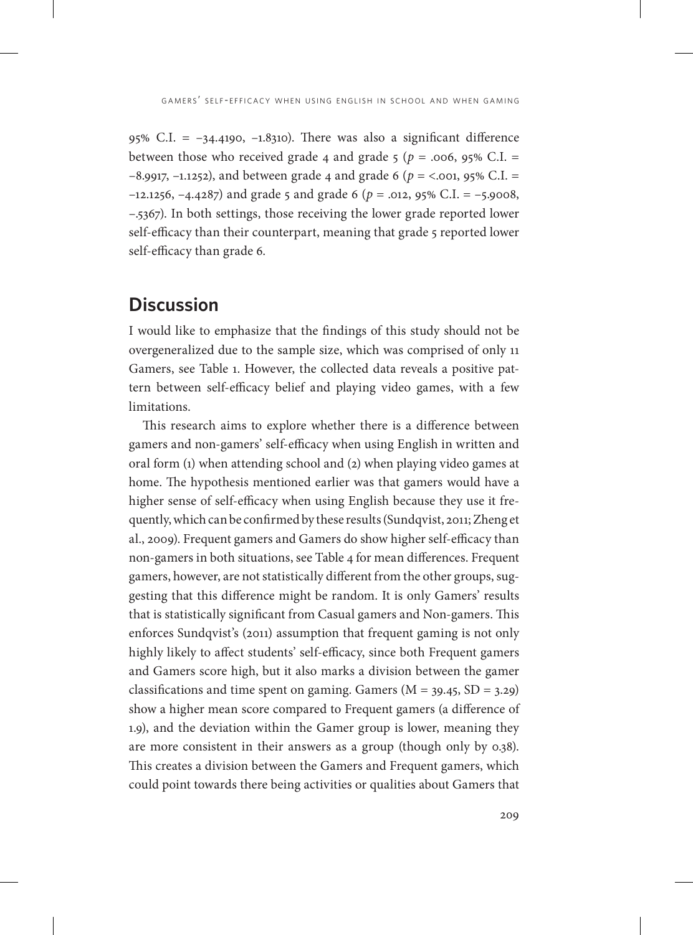95% C.I. = –34.4190, –1.8310). There was also a significant difference between those who received grade 4 and grade 5 ( $p = .006$ , 95% C.I. = –8.9917, –1.1252), and between grade 4 and grade 6 (*p* = <.001, 95% C.I. = –12.1256, –4.4287) and grade 5 and grade 6 (*p* = .012, 95% C.I. = –5.9008, –.5367). In both settings, those receiving the lower grade reported lower self-efficacy than their counterpart, meaning that grade 5 reported lower self-efficacy than grade 6.

### **Discussion**

I would like to emphasize that the findings of this study should not be overgeneralized due to the sample size, which was comprised of only 11 Gamers, see Table 1. However, the collected data reveals a positive pattern between self-efficacy belief and playing video games, with a few limitations.

This research aims to explore whether there is a difference between gamers and non-gamers' self-efficacy when using English in written and oral form (1) when attending school and (2) when playing video games at home. The hypothesis mentioned earlier was that gamers would have a higher sense of self-efficacy when using English because they use it frequently, which can be confirmed by these results (Sundqvist, 2011; Zheng et al., 2009). Frequent gamers and Gamers do show higher self-efficacy than non-gamers in both situations, see Table 4 for mean differences. Frequent gamers, however, are not statistically different from the other groups, suggesting that this difference might be random. It is only Gamers' results that is statistically significant from Casual gamers and Non-gamers. This enforces Sundqvist's (2011) assumption that frequent gaming is not only highly likely to affect students' self-efficacy, since both Frequent gamers and Gamers score high, but it also marks a division between the gamer classifications and time spent on gaming. Gamers  $(M = 39.45, SD = 3.29)$ show a higher mean score compared to Frequent gamers (a difference of 1.9), and the deviation within the Gamer group is lower, meaning they are more consistent in their answers as a group (though only by 0.38). This creates a division between the Gamers and Frequent gamers, which could point towards there being activities or qualities about Gamers that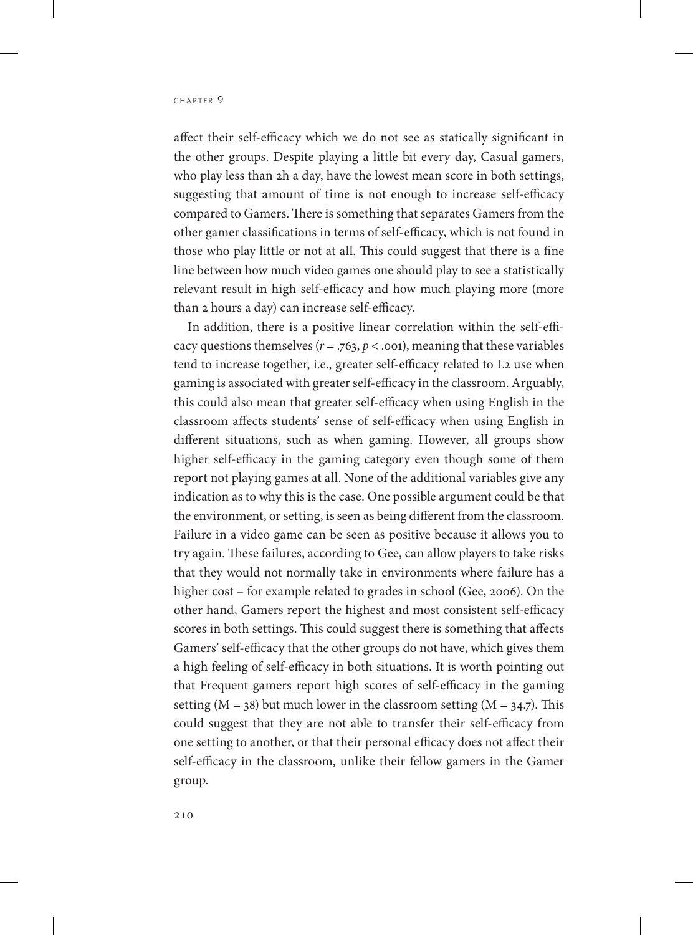affect their self-efficacy which we do not see as statically significant in the other groups. Despite playing a little bit every day, Casual gamers, who play less than 2h a day, have the lowest mean score in both settings, suggesting that amount of time is not enough to increase self-efficacy compared to Gamers. There is something that separates Gamers from the other gamer classifications in terms of self-efficacy, which is not found in those who play little or not at all. This could suggest that there is a fine line between how much video games one should play to see a statistically relevant result in high self-efficacy and how much playing more (more than 2 hours a day) can increase self-efficacy.

In addition, there is a positive linear correlation within the self-efficacy questions themselves  $(r = .763, p < .001)$ , meaning that these variables tend to increase together, i.e., greater self-efficacy related to L2 use when gaming is associated with greater self-efficacy in the classroom. Arguably, this could also mean that greater self-efficacy when using English in the classroom affects students' sense of self-efficacy when using English in different situations, such as when gaming. However, all groups show higher self-efficacy in the gaming category even though some of them report not playing games at all. None of the additional variables give any indication as to why this is the case. One possible argument could be that the environment, or setting, is seen as being different from the classroom. Failure in a video game can be seen as positive because it allows you to try again. These failures, according to Gee, can allow players to take risks that they would not normally take in environments where failure has a higher cost – for example related to grades in school (Gee, 2006). On the other hand, Gamers report the highest and most consistent self-efficacy scores in both settings. This could suggest there is something that affects Gamers' self-efficacy that the other groups do not have, which gives them a high feeling of self-efficacy in both situations. It is worth pointing out that Frequent gamers report high scores of self-efficacy in the gaming setting ( $M = 38$ ) but much lower in the classroom setting ( $M = 34.7$ ). This could suggest that they are not able to transfer their self-efficacy from one setting to another, or that their personal efficacy does not affect their self-efficacy in the classroom, unlike their fellow gamers in the Gamer group.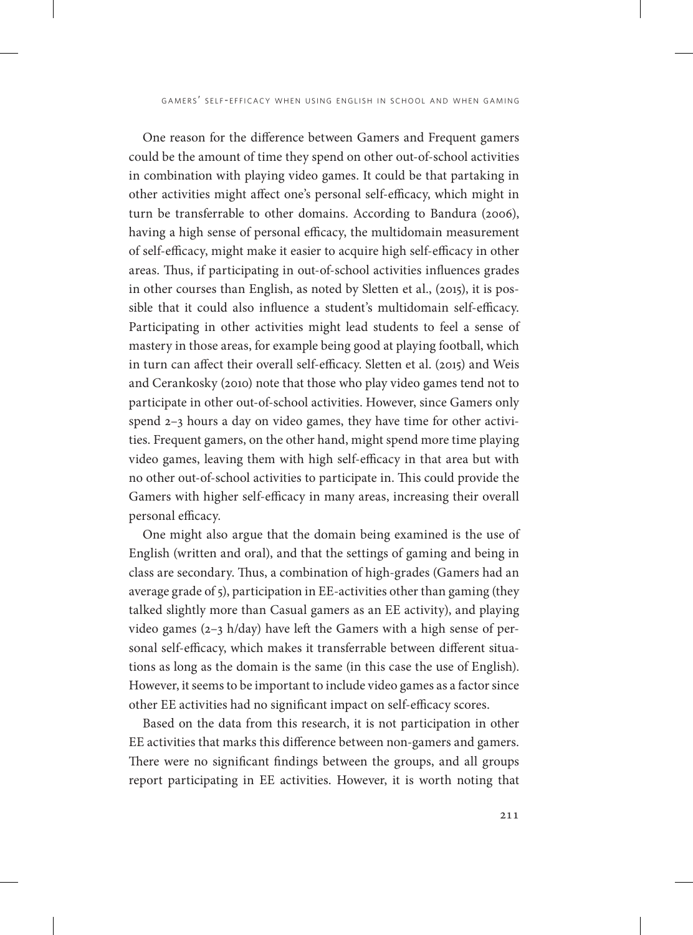One reason for the difference between Gamers and Frequent gamers could be the amount of time they spend on other out-of-school activities in combination with playing video games. It could be that partaking in other activities might affect one's personal self-efficacy, which might in turn be transferrable to other domains. According to Bandura (2006), having a high sense of personal efficacy, the multidomain measurement of self-efficacy, might make it easier to acquire high self-efficacy in other areas. Thus, if participating in out-of-school activities influences grades in other courses than English, as noted by Sletten et al., (2015), it is possible that it could also influence a student's multidomain self-efficacy. Participating in other activities might lead students to feel a sense of mastery in those areas, for example being good at playing football, which in turn can affect their overall self-efficacy. Sletten et al. (2015) and Weis and Cerankosky (2010) note that those who play video games tend not to participate in other out-of-school activities. However, since Gamers only spend 2–3 hours a day on video games, they have time for other activities. Frequent gamers, on the other hand, might spend more time playing video games, leaving them with high self-efficacy in that area but with no other out-of-school activities to participate in. This could provide the Gamers with higher self-efficacy in many areas, increasing their overall personal efficacy.

One might also argue that the domain being examined is the use of English (written and oral), and that the settings of gaming and being in class are secondary. Thus, a combination of high-grades (Gamers had an average grade of 5), participation in EE-activities other than gaming (they talked slightly more than Casual gamers as an EE activity), and playing video games (2–3 h/day) have left the Gamers with a high sense of personal self-efficacy, which makes it transferrable between different situations as long as the domain is the same (in this case the use of English). However, it seems to be important to include video games as a factor since other EE activities had no significant impact on self-efficacy scores.

Based on the data from this research, it is not participation in other EE activities that marks this difference between non-gamers and gamers. There were no significant findings between the groups, and all groups report participating in EE activities. However, it is worth noting that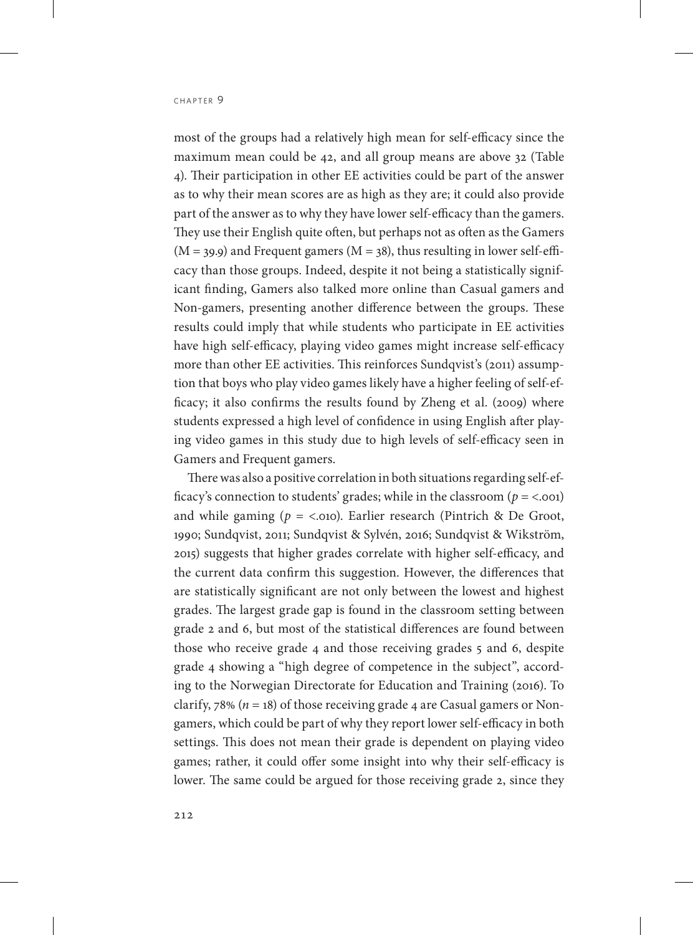most of the groups had a relatively high mean for self-efficacy since the maximum mean could be 42, and all group means are above 32 (Table 4). Their participation in other EE activities could be part of the answer as to why their mean scores are as high as they are; it could also provide part of the answer as to why they have lower self-efficacy than the gamers. They use their English quite often, but perhaps not as often as the Gamers  $(M = 39.9)$  and Frequent gamers  $(M = 38)$ , thus resulting in lower self-efficacy than those groups. Indeed, despite it not being a statistically significant finding, Gamers also talked more online than Casual gamers and Non-gamers, presenting another difference between the groups. These results could imply that while students who participate in EE activities have high self-efficacy, playing video games might increase self-efficacy more than other EE activities. This reinforces Sundqvist's (2011) assumption that boys who play video games likely have a higher feeling of self-efficacy; it also confirms the results found by Zheng et al. (2009) where students expressed a high level of confidence in using English after playing video games in this study due to high levels of self-efficacy seen in Gamers and Frequent gamers.

There was also a positive correlation in both situations regarding self-efficacy's connection to students' grades; while in the classroom  $(p = <.001)$ and while gaming  $(p = <.010)$ . Earlier research (Pintrich & De Groot, 1990; Sundqvist, 2011; Sundqvist & Sylvén, 2016; Sundqvist & Wikström, 2015) suggests that higher grades correlate with higher self-efficacy, and the current data confirm this suggestion. However, the differences that are statistically significant are not only between the lowest and highest grades. The largest grade gap is found in the classroom setting between grade 2 and 6, but most of the statistical differences are found between those who receive grade 4 and those receiving grades 5 and 6, despite grade 4 showing a "high degree of competence in the subject", according to the Norwegian Directorate for Education and Training (2016). To clarify,  $78\%$  ( $n = 18$ ) of those receiving grade 4 are Casual gamers or Nongamers, which could be part of why they report lower self-efficacy in both settings. This does not mean their grade is dependent on playing video games; rather, it could offer some insight into why their self-efficacy is lower. The same could be argued for those receiving grade 2, since they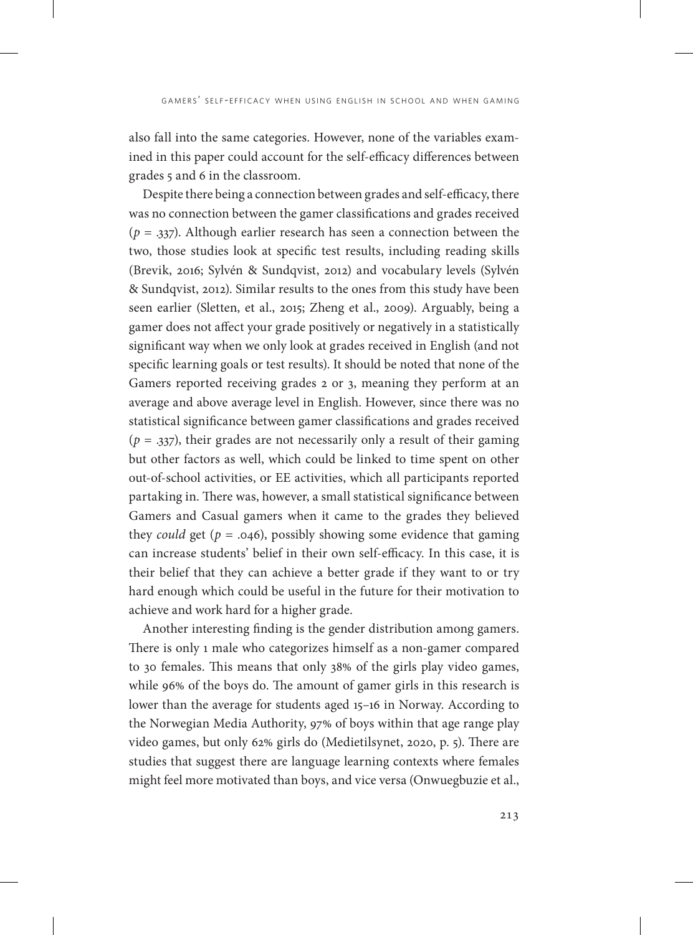also fall into the same categories. However, none of the variables examined in this paper could account for the self-efficacy differences between grades 5 and 6 in the classroom.

Despite there being a connection between grades and self-efficacy, there was no connection between the gamer classifications and grades received  $(p = .337)$ . Although earlier research has seen a connection between the two, those studies look at specific test results, including reading skills (Brevik, 2016; Sylvén & Sundqvist, 2012) and vocabulary levels (Sylvén & Sundqvist, 2012). Similar results to the ones from this study have been seen earlier (Sletten, et al., 2015; Zheng et al., 2009). Arguably, being a gamer does not affect your grade positively or negatively in a statistically significant way when we only look at grades received in English (and not specific learning goals or test results). It should be noted that none of the Gamers reported receiving grades 2 or 3, meaning they perform at an average and above average level in English. However, since there was no statistical significance between gamer classifications and grades received  $(p = .337)$ , their grades are not necessarily only a result of their gaming but other factors as well, which could be linked to time spent on other out-of-school activities, or EE activities, which all participants reported partaking in. There was, however, a small statistical significance between Gamers and Casual gamers when it came to the grades they believed they *could* get ( $p = .046$ ), possibly showing some evidence that gaming can increase students' belief in their own self-efficacy. In this case, it is their belief that they can achieve a better grade if they want to or try hard enough which could be useful in the future for their motivation to achieve and work hard for a higher grade.

Another interesting finding is the gender distribution among gamers. There is only 1 male who categorizes himself as a non-gamer compared to 30 females. This means that only 38% of the girls play video games, while 96% of the boys do. The amount of gamer girls in this research is lower than the average for students aged 15–16 in Norway. According to the Norwegian Media Authority, 97% of boys within that age range play video games, but only 62% girls do (Medietilsynet, 2020, p. 5). There are studies that suggest there are language learning contexts where females might feel more motivated than boys, and vice versa (Onwuegbuzie et al.,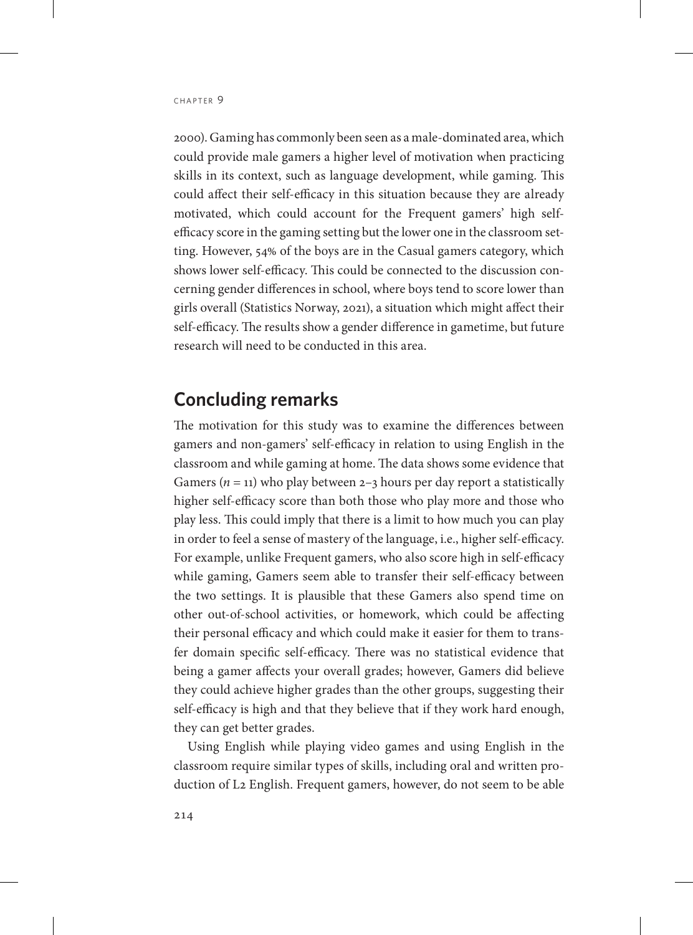2000). Gaming has commonly been seen as a male-dominated area, which could provide male gamers a higher level of motivation when practicing skills in its context, such as language development, while gaming. This could affect their self-efficacy in this situation because they are already motivated, which could account for the Frequent gamers' high selfefficacy score in the gaming setting but the lower one in the classroom setting. However, 54% of the boys are in the Casual gamers category, which shows lower self-efficacy. This could be connected to the discussion concerning gender differences in school, where boys tend to score lower than girls overall (Statistics Norway, 2021), a situation which might affect their self-efficacy. The results show a gender difference in gametime, but future research will need to be conducted in this area.

# **Concluding remarks**

The motivation for this study was to examine the differences between gamers and non-gamers' self-efficacy in relation to using English in the classroom and while gaming at home. The data shows some evidence that Gamers  $(n = 11)$  who play between 2–3 hours per day report a statistically higher self-efficacy score than both those who play more and those who play less. This could imply that there is a limit to how much you can play in order to feel a sense of mastery of the language, i.e., higher self-efficacy. For example, unlike Frequent gamers, who also score high in self-efficacy while gaming, Gamers seem able to transfer their self-efficacy between the two settings. It is plausible that these Gamers also spend time on other out-of-school activities, or homework, which could be affecting their personal efficacy and which could make it easier for them to transfer domain specific self-efficacy. There was no statistical evidence that being a gamer affects your overall grades; however, Gamers did believe they could achieve higher grades than the other groups, suggesting their self-efficacy is high and that they believe that if they work hard enough, they can get better grades.

Using English while playing video games and using English in the classroom require similar types of skills, including oral and written production of L2 English. Frequent gamers, however, do not seem to be able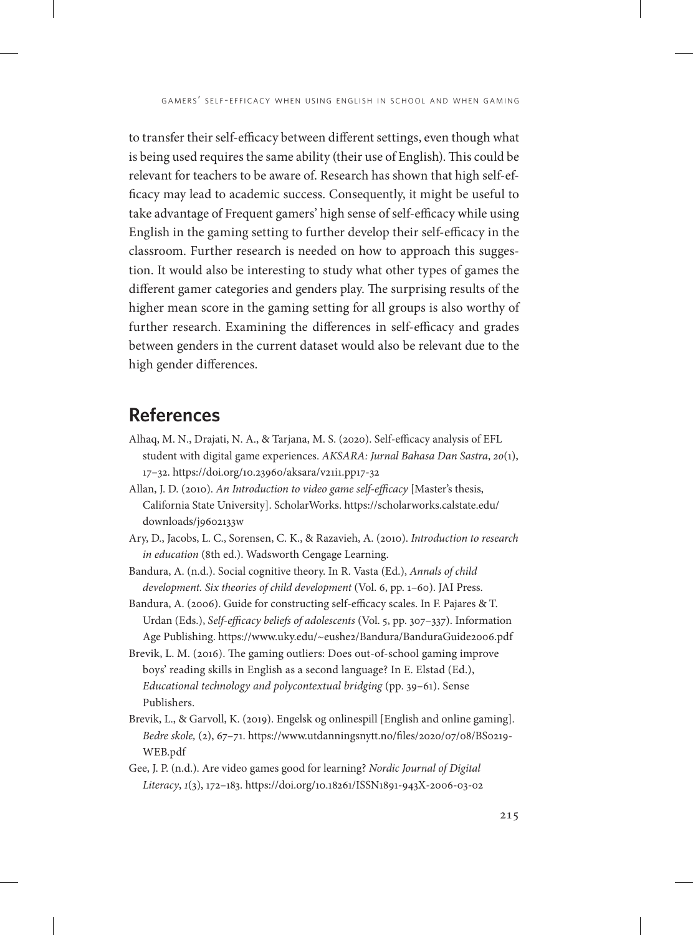to transfer their self-efficacy between different settings, even though what is being used requires the same ability (their use of English). This could be relevant for teachers to be aware of. Research has shown that high self-efficacy may lead to academic success. Consequently, it might be useful to take advantage of Frequent gamers' high sense of self-efficacy while using English in the gaming setting to further develop their self-efficacy in the classroom. Further research is needed on how to approach this suggestion. It would also be interesting to study what other types of games the different gamer categories and genders play. The surprising results of the higher mean score in the gaming setting for all groups is also worthy of further research. Examining the differences in self-efficacy and grades between genders in the current dataset would also be relevant due to the high gender differences.

# **References**

- Alhaq, M. N., Drajati, N. A., & Tarjana, M. S. (2020). Self-efficacy analysis of EFL student with digital game experiences. *AKSARA: Jurnal Bahasa Dan Sastra*, *20*(1), 17–32.<https://doi.org/10.23960/aksara/v21i1.pp17-32>
- Allan, J. D. (2010). *An Introduction to video game self-efficacy* [Master's thesis, California State University]. ScholarWorks. [https://scholarworks.calstate.edu/](https://scholarworks.calstate.edu/downloads/j9602133w) [downloads/j9602133w](https://scholarworks.calstate.edu/downloads/j9602133w)
- Ary, D., Jacobs, L. C., Sorensen, C. K., & Razavieh, A. (2010). *Introduction to research in education* (8th ed.). Wadsworth Cengage Learning.
- Bandura, A. (n.d.). Social cognitive theory. In R. Vasta (Ed.), *Annals of child development. Six theories of child development* (Vol. 6, pp. 1–60). JAI Press.
- Bandura, A. (2006). Guide for constructing self-efficacy scales. In F. Pajares & T. Urdan (Eds.), *Self-efficacy beliefs of adolescents* (Vol. 5, pp. 307–337). Information Age Publishing. <https://www.uky.edu/~eushe2/Bandura/BanduraGuide2006.pdf>
- Brevik, L. M. (2016). The gaming outliers: Does out-of-school gaming improve boys' reading skills in English as a second language? In E. Elstad (Ed.), *Educational technology and polycontextual bridging* (pp. 39–61). Sense Publishers.
- Brevik, L., & Garvoll, K. (2019). Engelsk og onlinespill [English and online gaming]. *Bedre skole,* (2), 67–71. [https://www.utdanningsnytt.no/files/2020/07/08/BS0219-](https://www.utdanningsnytt.no/files/2020/07/08/BS0219-WEB.pdf) [WEB.pdf](https://www.utdanningsnytt.no/files/2020/07/08/BS0219-WEB.pdf)
- Gee, J. P. (n.d.). Are video games good for learning? *Nordic Journal of Digital Literacy*, *1*(3), 172–183. <https://doi.org/10.18261/ISSN1891-943X-2006-03-02>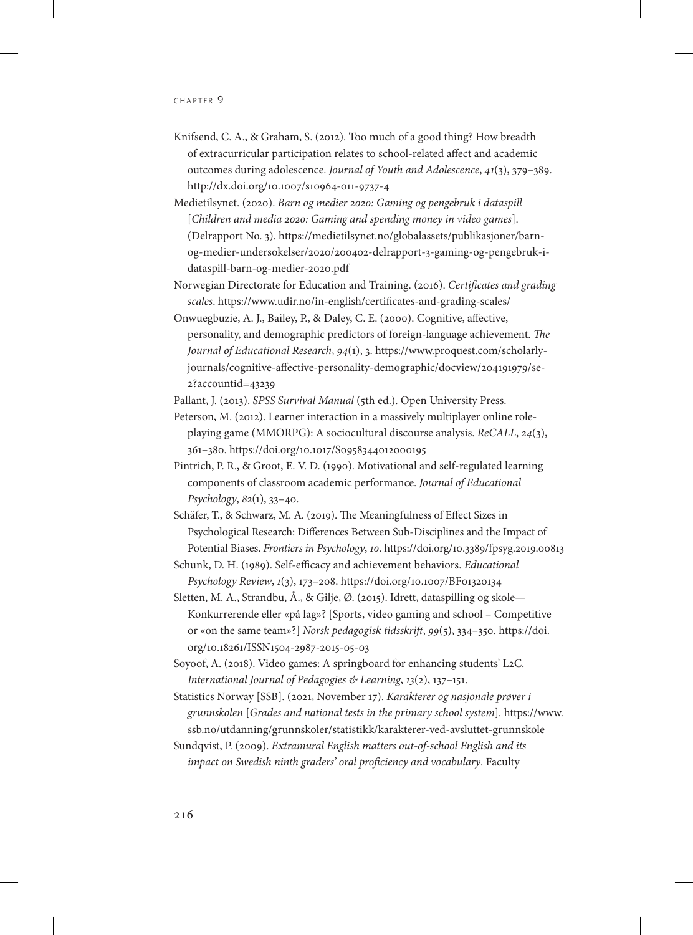- Knifsend, C. A., & Graham, S. (2012). Too much of a good thing? How breadth of extracurricular participation relates to school-related affect and academic outcomes during adolescence. *Journal of Youth and Adolescence*, *41*(3), 379–389. <http://dx.doi.org/10.1007/s10964-011-9737-4>
- Medietilsynet. (2020). *Barn og medier 2020: Gaming og pengebruk i dataspill* [*Children and media 2020: Gaming and spending money in video games*]. (Delrapport No. 3). [https://medietilsynet.no/globalassets/publikasjoner/barn](https://medietilsynet.no/globalassets/publikasjoner/barn-og-medier-undersokelser/2020/200402-delrapport-3-gaming-og-pengebruk-i-dataspill-barn-og-medier-2020.pdf)[og-medier-undersokelser/2020/200402-delrapport-3-gaming-og-pengebruk-i](https://medietilsynet.no/globalassets/publikasjoner/barn-og-medier-undersokelser/2020/200402-delrapport-3-gaming-og-pengebruk-i-dataspill-barn-og-medier-2020.pdf)[dataspill-barn-og-medier-2020.pdf](https://medietilsynet.no/globalassets/publikasjoner/barn-og-medier-undersokelser/2020/200402-delrapport-3-gaming-og-pengebruk-i-dataspill-barn-og-medier-2020.pdf)
- Norwegian Directorate for Education and Training. (2016). *Certificates and grading scales*.<https://www.udir.no/in-english/certificates-and-grading-scales/>
- Onwuegbuzie, A. J., Bailey, P., & Daley, C. E. (2000). Cognitive, affective, personality, and demographic predictors of foreign-language achievement. *The Journal of Educational Research*, *94*(1), 3. [https://www.proquest.com/scholarly](https://www.proquest.com/scholarly-journals/cognitive-affective-personality-demographic/docview/204191979/se-2?accountid=43239)[journals/cognitive-affective-personality-demographic/docview/204191979/se-](https://www.proquest.com/scholarly-journals/cognitive-affective-personality-demographic/docview/204191979/se-2?accountid=43239)[2?accountid=43239](https://www.proquest.com/scholarly-journals/cognitive-affective-personality-demographic/docview/204191979/se-2?accountid=43239)
- Pallant, J. (2013). *SPSS Survival Manual* (5th ed.). Open University Press.
- Peterson, M. (2012). Learner interaction in a massively multiplayer online roleplaying game (MMORPG): A sociocultural discourse analysis. *ReCALL*, *24*(3), 361–380. <https://doi.org/10.1017/S0958344012000195>
- Pintrich, P. R., & Groot, E. V. D. (1990). Motivational and self-regulated learning components of classroom academic performance. *Journal of Educational Psychology*, *82*(1), 33–40.
- Schäfer, T., & Schwarz, M. A. (2019). The Meaningfulness of Effect Sizes in Psychological Research: Differences Between Sub-Disciplines and the Impact of Potential Biases. *Frontiers in Psychology*, *10*. <https://doi.org/10.3389/fpsyg.2019.00813>
- Schunk, D. H. (1989). Self-efficacy and achievement behaviors. *Educational Psychology Review*, *1*(3), 173–208.<https://doi.org/10.1007/BF01320134>
- Sletten, M. A., Strandbu, Å., & Gilje, Ø. (2015). Idrett, dataspilling og skole— Konkurrerende eller «på lag»? [Sports, video gaming and school – Competitive or «on the same team»?] *Norsk pedagogisk tidsskrift*, *99*(5), 334–350. [https://doi.](https://doi.org/10.18261/ISSN1504-2987-2015-05-03) [org/10.18261/ISSN1504-2987-2015-05-03](https://doi.org/10.18261/ISSN1504-2987-2015-05-03)
- Soyoof, A. (2018). Video games: A springboard for enhancing students' L2C. *International Journal of Pedagogies & Learning*, *13*(2), 137–151.
- Statistics Norway [SSB]. (2021, November 17). *Karakterer og nasjonale prøver i grunnskolen* [*Grades and national tests in the primary school system*]*.* [https://www.](https://www.ssb.no/utdanning/grunnskoler/statistikk/karakterer-ved-avsluttet-grunnskole) [ssb.no/utdanning/grunnskoler/statistikk/karakterer-ved-avsluttet-grunnskole](https://www.ssb.no/utdanning/grunnskoler/statistikk/karakterer-ved-avsluttet-grunnskole)
- Sundqvist, P. (2009). *Extramural English matters out-of-school English and its impact on Swedish ninth graders' oral proficiency and vocabulary*. Faculty